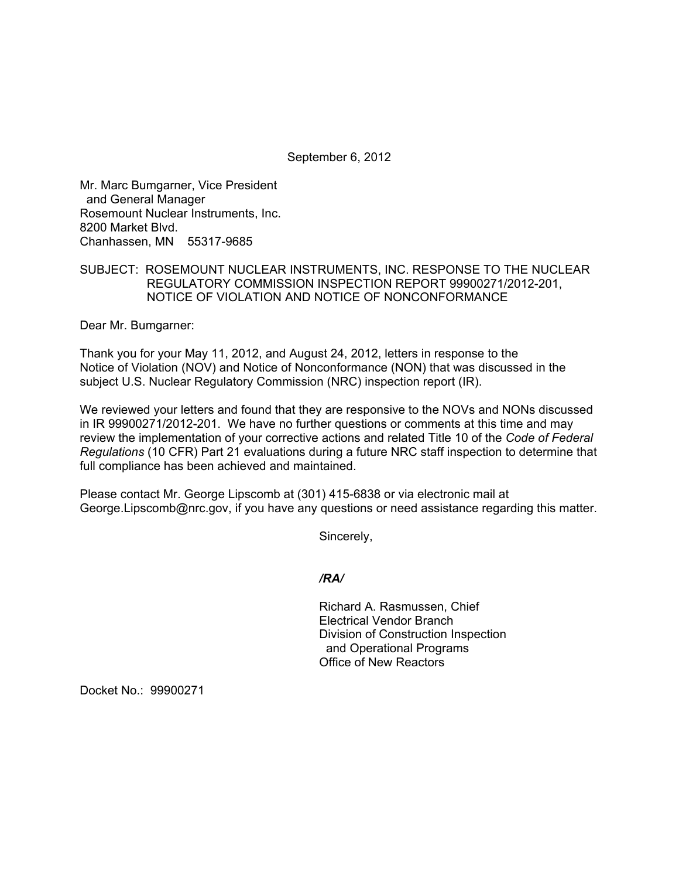September 6, 2012

Mr. Marc Bumgarner, Vice President and General Manager Rosemount Nuclear Instruments, Inc. 8200 Market Blvd. Chanhassen, MN 55317-9685

## SUBJECT: ROSEMOUNT NUCLEAR INSTRUMENTS, INC. RESPONSE TO THE NUCLEAR REGULATORY COMMISSION INSPECTION REPORT 99900271/2012-201, NOTICE OF VIOLATION AND NOTICE OF NONCONFORMANCE

Dear Mr. Bumgarner:

Thank you for your May 11, 2012, and August 24, 2012, letters in response to the Notice of Violation (NOV) and Notice of Nonconformance (NON) that was discussed in the subject U.S. Nuclear Regulatory Commission (NRC) inspection report (IR).

We reviewed your letters and found that they are responsive to the NOVs and NONs discussed in IR 99900271/2012-201. We have no further questions or comments at this time and may review the implementation of your corrective actions and related Title 10 of the *Code of Federal Regulations* (10 CFR) Part 21 evaluations during a future NRC staff inspection to determine that full compliance has been achieved and maintained.

Please contact Mr. George Lipscomb at (301) 415-6838 or via electronic mail at George.Lipscomb@nrc.gov, if you have any questions or need assistance regarding this matter.

Sincerely,

## */RA/*

Richard A. Rasmussen, Chief Electrical Vendor Branch Division of Construction Inspection and Operational Programs Office of New Reactors

Docket No.: 99900271